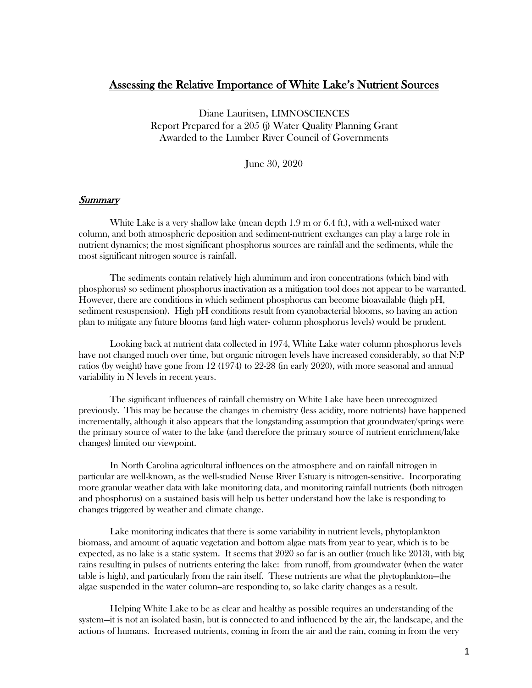# Assessing the Relative Importance of White Lake's Nutrient Sources

Diane Lauritsen, LIMNOSCIENCES Report Prepared for a 205 (j) Water Quality Planning Grant Awarded to the Lumber River Council of Governments

June 30, 2020

#### Summary

White Lake is a very shallow lake (mean depth 1.9 m or 6.4 ft.), with a well-mixed water column, and both atmospheric deposition and sediment-nutrient exchanges can play a large role in nutrient dynamics; the most significant phosphorus sources are rainfall and the sediments, while the most significant nitrogen source is rainfall.

The sediments contain relatively high aluminum and iron concentrations (which bind with phosphorus) so sediment phosphorus inactivation as a mitigation tool does not appear to be warranted. However, there are conditions in which sediment phosphorus can become bioavailable (high pH, sediment resuspension). High pH conditions result from cyanobacterial blooms, so having an action plan to mitigate any future blooms (and high water- column phosphorus levels) would be prudent.

Looking back at nutrient data collected in 1974, White Lake water column phosphorus levels have not changed much over time, but organic nitrogen levels have increased considerably, so that N:P ratios (by weight) have gone from 12 (1974) to 22-28 (in early 2020), with more seasonal and annual variability in N levels in recent years.

The significant influences of rainfall chemistry on White Lake have been unrecognized previously. This may be because the changes in chemistry (less acidity, more nutrients) have happened incrementally, although it also appears that the longstanding assumption that groundwater/springs were the primary source of water to the lake (and therefore the primary source of nutrient enrichment/lake changes) limited our viewpoint.

In North Carolina agricultural influences on the atmosphere and on rainfall nitrogen in particular are well-known, as the well-studied Neuse River Estuary is nitrogen-sensitive. Incorporating more granular weather data with lake monitoring data, and monitoring rainfall nutrients (both nitrogen and phosphorus) on a sustained basis will help us better understand how the lake is responding to changes triggered by weather and climate change.

Lake monitoring indicates that there is some variability in nutrient levels, phytoplankton biomass, and amount of aquatic vegetation and bottom algae mats from year to year, which is to be expected, as no lake is a static system. It seems that 2020 so far is an outlier (much like 2013), with big rains resulting in pulses of nutrients entering the lake: from runoff, from groundwater (when the water table is high), and particularly from the rain itself. These nutrients are what the phytoplankton—the algae suspended in the water column--are responding to, so lake clarity changes as a result.

Helping White Lake to be as clear and healthy as possible requires an understanding of the system—it is not an isolated basin, but is connected to and influenced by the air, the landscape, and the actions of humans. Increased nutrients, coming in from the air and the rain, coming in from the very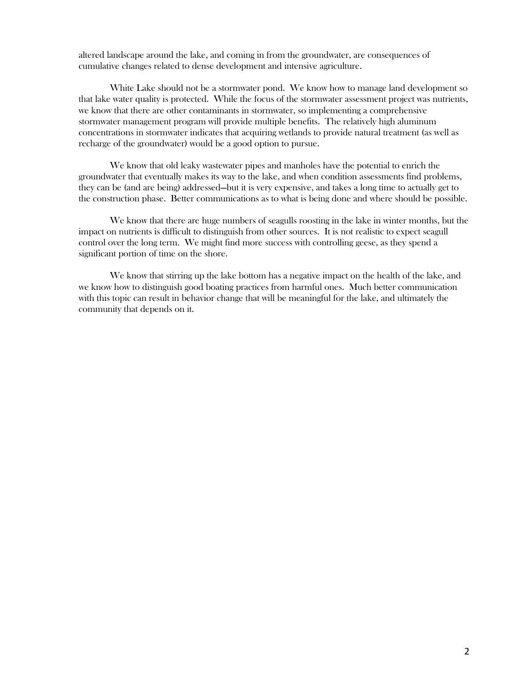altered landscape around the lake, and coming in from the groundwater, are consequences of cumulative changes related to dense development and intensive agriculture.

White Lake should not be a stormwater pond. We know how to manage land development so that lake water quality is protected. While the focus of the stormwater assessment project was nutrients, we know that there are other contaminants in stormwater, so implementing a comprehensive stormwater management program will provide multiple benefits. The relatively high aluminum concentrations in stormwater indicates that acquiring wetlands to provide natural treatment (as well as recharge of the groundwater) would be a good option to pursue.

We know that old leaky wastewater pipes and manholes have the potential to enrich the groundwater that eventually makes its way to the lake, and when condition assessments find problems, they can be (and are being) addressed—but it is very expensive, and takes a long time to actually get to the construction phase. Better communications as to what is being done and where should be possible.

We know that there are huge numbers of seagulls roosting in the lake in winter months, but the impact on nutrients is difficult to distinguish from other sources. It is not realistic to expect seagull control over the long term. We might find more success with controlling geese, as they spend a significant portion of time on the shore.

We know that stirring up the lake bottom has a negative impact on the health of the lake, and we know how to distinguish good boating practices from harmful ones. Much better communication with this topic can result in behavior change that will be meaningful for the lake, and ultimately the community that depends on it.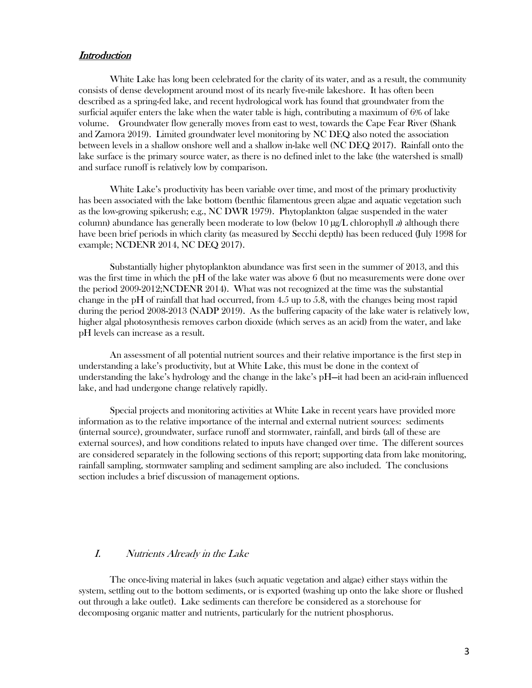# **Introduction**

White Lake has long been celebrated for the clarity of its water, and as a result, the community consists of dense development around most of its nearly five-mile lakeshore. It has often been described as a spring-fed lake, and recent hydrological work has found that groundwater from the surficial aquifer enters the lake when the water table is high, contributing a maximum of 6% of lake volume. Groundwater flow generally moves from east to west, towards the Cape Fear River (Shank and Zamora 2019). Limited groundwater level monitoring by NC DEQ also noted the association between levels in a shallow onshore well and a shallow in-lake well (NC DEQ 2017). Rainfall onto the lake surface is the primary source water, as there is no defined inlet to the lake (the watershed is small) and surface runoff is relatively low by comparison.

White Lake's productivity has been variable over time, and most of the primary productivity has been associated with the lake bottom (benthic filamentous green algae and aquatic vegetation such as the low-growing spikerush; e.g., NC DWR 1979). Phytoplankton (algae suspended in the water column) abundance has generally been moderate to low (below 10  $\mu$ g/L chlorophyll a) although there have been brief periods in which clarity (as measured by Secchi depth) has been reduced (July 1998 for example; NCDENR 2014, NC DEQ 2017).

Substantially higher phytoplankton abundance was first seen in the summer of 2013, and this was the first time in which the pH of the lake water was above 6 (but no measurements were done over the period 2009-2012;NCDENR 2014). What was not recognized at the time was the substantial change in the pH of rainfall that had occurred, from 4.5 up to 5.8, with the changes being most rapid during the period 2008-2013 (NADP 2019). As the buffering capacity of the lake water is relatively low, higher algal photosynthesis removes carbon dioxide (which serves as an acid) from the water, and lake pH levels can increase as a result.

An assessment of all potential nutrient sources and their relative importance is the first step in understanding a lake's productivity, but at White Lake, this must be done in the context of understanding the lake's hydrology and the change in the lake's pH—it had been an acid-rain influenced lake, and had undergone change relatively rapidly.

Special projects and monitoring activities at White Lake in recent years have provided more information as to the relative importance of the internal and external nutrient sources: sediments (internal source), groundwater, surface runoff and stormwater, rainfall, and birds (all of these are external sources), and how conditions related to inputs have changed over time. The different sources are considered separately in the following sections of this report; supporting data from lake monitoring, rainfall sampling, stormwater sampling and sediment sampling are also included. The conclusions section includes a brief discussion of management options.

# I. Nutrients Already in the Lake

The once-living material in lakes (such aquatic vegetation and algae) either stays within the system, settling out to the bottom sediments, or is exported (washing up onto the lake shore or flushed out through a lake outlet). Lake sediments can therefore be considered as a storehouse for decomposing organic matter and nutrients, particularly for the nutrient phosphorus.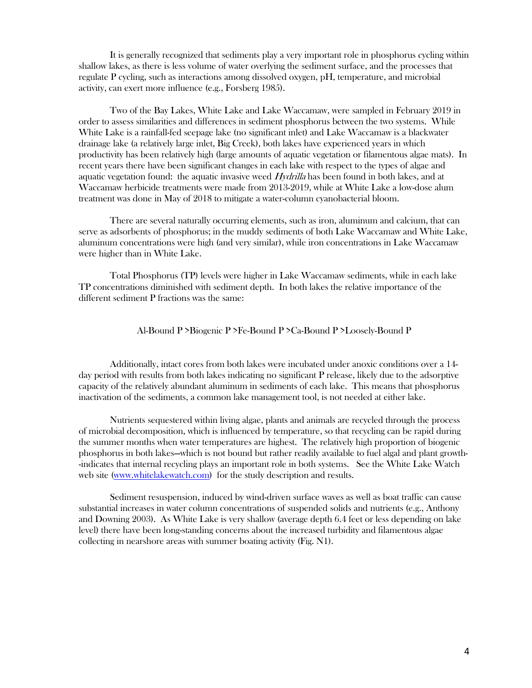It is generally recognized that sediments play a very important role in phosphorus cycling within shallow lakes, as there is less volume of water overlying the sediment surface, and the processes that regulate P cycling, such as interactions among dissolved oxygen, pH, temperature, and microbial activity, can exert more influence (e.g., Forsberg 1985).

Two of the Bay Lakes, White Lake and Lake Waccamaw, were sampled in February 2019 in order to assess similarities and differences in sediment phosphorus between the two systems. While White Lake is a rainfall-fed seepage lake (no significant inlet) and Lake Waccamaw is a blackwater drainage lake (a relatively large inlet, Big Creek), both lakes have experienced years in which productivity has been relatively high (large amounts of aquatic vegetation or filamentous algae mats). In recent years there have been significant changes in each lake with respect to the types of algae and aquatic vegetation found: the aquatic invasive weed  $Hydrilla$  has been found in both lakes, and at Waccamaw herbicide treatments were made from 2013-2019, while at White Lake a low-dose alum treatment was done in May of 2018 to mitigate a water-column cyanobacterial bloom.

There are several naturally occurring elements, such as iron, aluminum and calcium, that can serve as adsorbents of phosphorus; in the muddy sediments of both Lake Waccamaw and White Lake, aluminum concentrations were high (and very similar), while iron concentrations in Lake Waccamaw were higher than in White Lake.

Total Phosphorus (TP) levels were higher in Lake Waccamaw sediments, while in each lake TP concentrations diminished with sediment depth. In both lakes the relative importance of the different sediment P fractions was the same:

#### Al-Bound P >Biogenic P >Fe-Bound P >Ca-Bound P >Loosely-Bound P

Additionally, intact cores from both lakes were incubated under anoxic conditions over a 14 day period with results from both lakes indicating no significant P release, likely due to the adsorptive capacity of the relatively abundant aluminum in sediments of each lake. This means that phosphorus inactivation of the sediments, a common lake management tool, is not needed at either lake.

Nutrients sequestered within living algae, plants and animals are recycled through the process of microbial decomposition, which is influenced by temperature, so that recycling can be rapid during the summer months when water temperatures are highest. The relatively high proportion of biogenic phosphorus in both lakes—which is not bound but rather readily available to fuel algal and plant growth- -indicates that internal recycling plays an important role in both systems. See the White Lake Watch web site (www.whitelakewatch.com) for the study description and results.

Sediment resuspension, induced by wind-driven surface waves as well as boat traffic can cause substantial increases in water column concentrations of suspended solids and nutrients (e.g., Anthony and Downing 2003). As White Lake is very shallow (average depth 6.4 feet or less depending on lake level) there have been long-standing concerns about the increased turbidity and filamentous algae collecting in nearshore areas with summer boating activity (Fig. N1).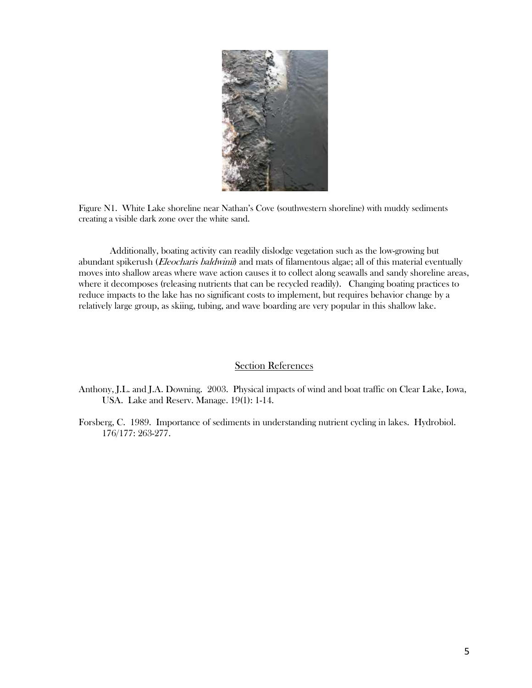

Figure N1. White Lake shoreline near Nathan's Cove (southwestern shoreline) with muddy sediments creating a visible dark zone over the white sand.

Additionally, boating activity can readily dislodge vegetation such as the low-growing but abundant spikerush (*Eleocharis baldwinii*) and mats of filamentous algae; all of this material eventually moves into shallow areas where wave action causes it to collect along seawalls and sandy shoreline areas, where it decomposes (releasing nutrients that can be recycled readily). Changing boating practices to reduce impacts to the lake has no significant costs to implement, but requires behavior change by a relatively large group, as skiing, tubing, and wave boarding are very popular in this shallow lake.

### Section References

- Anthony, J.L. and J.A. Downing. 2003. Physical impacts of wind and boat traffic on Clear Lake, Iowa, USA. Lake and Reserv. Manage. 19(1): 1-14.
- Forsberg, C. 1989. Importance of sediments in understanding nutrient cycling in lakes. Hydrobiol. 176/177: 263-277.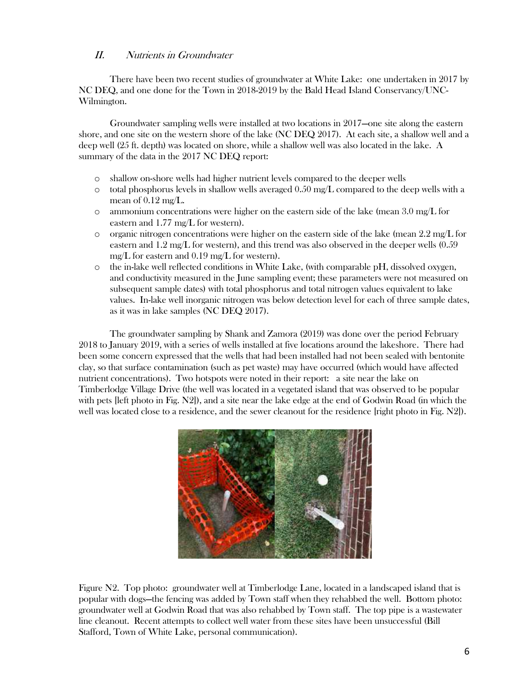# II. Nutrients in Groundwater

There have been two recent studies of groundwater at White Lake: one undertaken in 2017 by NC DEQ, and one done for the Town in 2018-2019 by the Bald Head Island Conservancy/UNC-Wilmington.

Groundwater sampling wells were installed at two locations in 2017—one site along the eastern shore, and one site on the western shore of the lake (NC DEQ 2017). At each site, a shallow well and a deep well (25 ft. depth) was located on shore, while a shallow well was also located in the lake. A summary of the data in the 2017 NC DEQ report:

- o shallow on-shore wells had higher nutrient levels compared to the deeper wells
- $\circ$  total phosphorus levels in shallow wells averaged 0.50 mg/L compared to the deep wells with a mean of  $0.12 \text{ mg/L}$ .
- $\circ$  ammonium concentrations were higher on the eastern side of the lake (mean 3.0 mg/L for eastern and 1.77 mg/L for western).
- $\circ$  organic nitrogen concentrations were higher on the eastern side of the lake (mean 2.2 mg/L for eastern and 1.2 mg/L for western), and this trend was also observed in the deeper wells (0.59 mg/L for eastern and 0.19 mg/L for western).
- o the in-lake well reflected conditions in White Lake, (with comparable pH, dissolved oxygen, and conductivity measured in the June sampling event; these parameters were not measured on subsequent sample dates) with total phosphorus and total nitrogen values equivalent to lake values. In-lake well inorganic nitrogen was below detection level for each of three sample dates, as it was in lake samples (NC DEQ 2017).

The groundwater sampling by Shank and Zamora (2019) was done over the period February 2018 to January 2019, with a series of wells installed at five locations around the lakeshore. There had been some concern expressed that the wells that had been installed had not been sealed with bentonite clay, so that surface contamination (such as pet waste) may have occurred (which would have affected nutrient concentrations). Two hotspots were noted in their report: a site near the lake on Timberlodge Village Drive (the well was located in a vegetated island that was observed to be popular with pets [left photo in Fig. N2]), and a site near the lake edge at the end of Godwin Road (in which the well was located close to a residence, and the sewer cleanout for the residence [right photo in Fig. N2]).



Figure N2. Top photo: groundwater well at Timberlodge Lane, located in a landscaped island that is popular with dogs—the fencing was added by Town staff when they rehabbed the well. Bottom photo: groundwater well at Godwin Road that was also rehabbed by Town staff. The top pipe is a wastewater line cleanout. Recent attempts to collect well water from these sites have been unsuccessful (Bill Stafford, Town of White Lake, personal communication).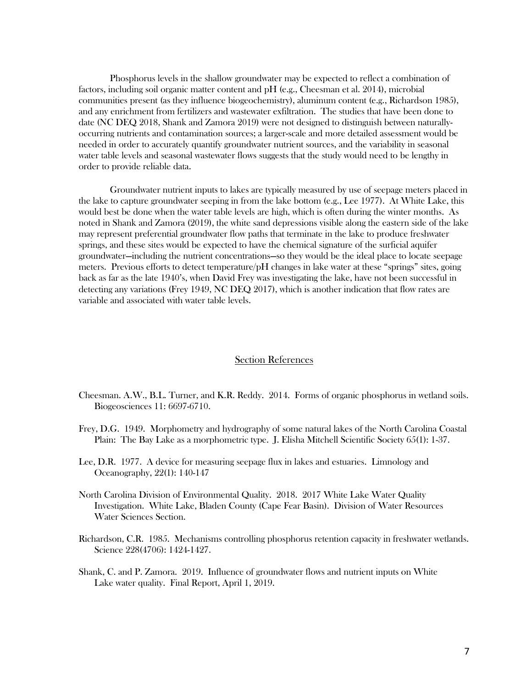Phosphorus levels in the shallow groundwater may be expected to reflect a combination of factors, including soil organic matter content and pH (e.g., Cheesman et al. 2014), microbial communities present (as they influence biogeochemistry), aluminum content (e.g., Richardson 1985), and any enrichment from fertilizers and wastewater exfiltration. The studies that have been done to date (NC DEQ 2018, Shank and Zamora 2019) were not designed to distinguish between naturallyoccurring nutrients and contamination sources; a larger-scale and more detailed assessment would be needed in order to accurately quantify groundwater nutrient sources, and the variability in seasonal water table levels and seasonal wastewater flows suggests that the study would need to be lengthy in order to provide reliable data.

Groundwater nutrient inputs to lakes are typically measured by use of seepage meters placed in the lake to capture groundwater seeping in from the lake bottom (e.g., Lee 1977). At White Lake, this would best be done when the water table levels are high, which is often during the winter months. As noted in Shank and Zamora (2019), the white sand depressions visible along the eastern side of the lake may represent preferential groundwater flow paths that terminate in the lake to produce freshwater springs, and these sites would be expected to have the chemical signature of the surficial aquifer groundwater—including the nutrient concentrations—so they would be the ideal place to locate seepage meters. Previous efforts to detect temperature/pH changes in lake water at these "springs" sites, going back as far as the late 1940's, when David Frey was investigating the lake, have not been successful in detecting any variations (Frey 1949, NC DEQ 2017), which is another indication that flow rates are variable and associated with water table levels.

#### Section References

- Cheesman. A.W., B.L. Turner, and K.R. Reddy. 2014. Forms of organic phosphorus in wetland soils. Biogeosciences 11: 6697-6710.
- Frey, D.G. 1949. Morphometry and hydrography of some natural lakes of the North Carolina Coastal Plain: The Bay Lake as a morphometric type. J. Elisha Mitchell Scientific Society 65(1): 1-37.
- Lee, D.R. 1977. A device for measuring seepage flux in lakes and estuaries. Limnology and Oceanography, 22(1): 140-147
- North Carolina Division of Environmental Quality. 2018. 2017 White Lake Water Quality Investigation. White Lake, Bladen County (Cape Fear Basin). Division of Water Resources Water Sciences Section.
- Richardson, C.R. 1985. Mechanisms controlling phosphorus retention capacity in freshwater wetlands. Science 228(4706): 1424-1427.
- Shank, C. and P. Zamora. 2019. Influence of groundwater flows and nutrient inputs on White Lake water quality. Final Report, April 1, 2019.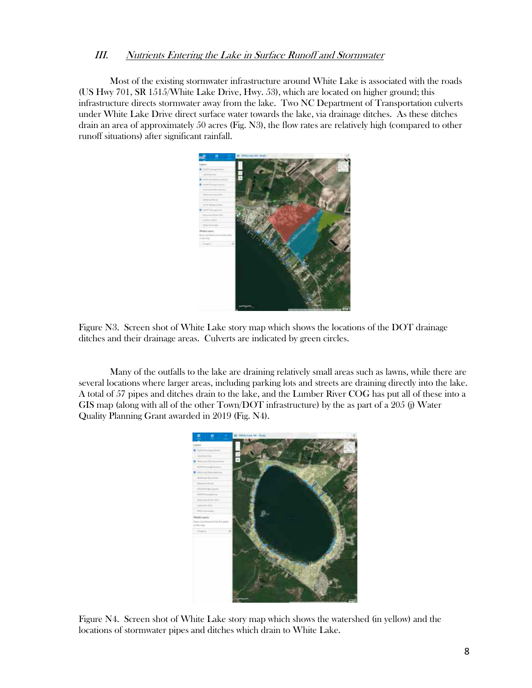### III. Nutrients Entering the Lake in Surface Runoff and Stormwater

Most of the existing stormwater infrastructure around White Lake is associated with the roads (US Hwy 701, SR 1515/White Lake Drive, Hwy. 53), which are located on higher ground; this infrastructure directs stormwater away from the lake. Two NC Department of Transportation culverts under White Lake Drive direct surface water towards the lake, via drainage ditches. As these ditches drain an area of approximately 50 acres (Fig. N3), the flow rates are relatively high (compared to other runoff situations) after significant rainfall.



Figure N3. Screen shot of White Lake story map which shows the locations of the DOT drainage ditches and their drainage areas. Culverts are indicated by green circles.

Many of the outfalls to the lake are draining relatively small areas such as lawns, while there are several locations where larger areas, including parking lots and streets are draining directly into the lake. A total of 57 pipes and ditches drain to the lake, and the Lumber River COG has put all of these into a GIS map (along with all of the other Town/DOT infrastructure) by the as part of a 205 (j) Water Quality Planning Grant awarded in 2019 (Fig. N4).



Figure N4. Screen shot of White Lake story map which shows the watershed (in yellow) and the locations of stormwater pipes and ditches which drain to White Lake.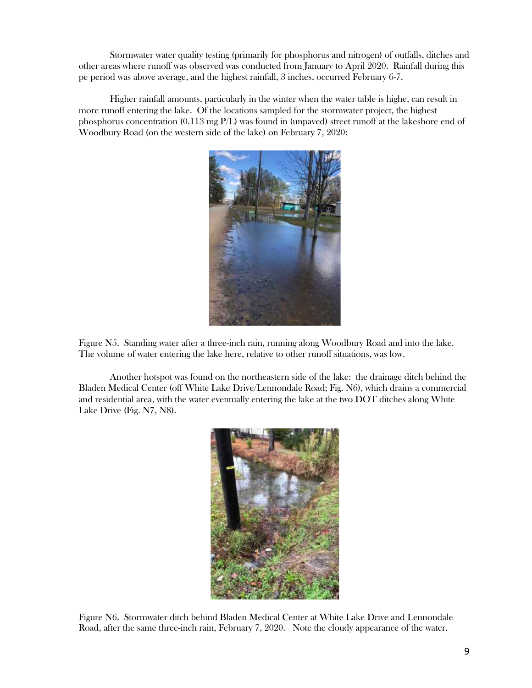Stormwater water quality testing (primarily for phosphorus and nitrogen) of outfalls, ditches and other areas where runoff was observed was conducted from January to April 2020. Rainfall during this pe period was above average, and the highest rainfall, 3 inches, occurred February 6-7.

Higher rainfall amounts, particularly in the winter when the water table is highe, can result in more runoff entering the lake. Of the locations sampled for the stormwater project, the highest phosphorus concentration (0.113 mg P/L) was found in (unpaved) street runoff at the lakeshore end of Woodbury Road (on the western side of the lake) on February 7, 2020:



Figure N5. Standing water after a three-inch rain, running along Woodbury Road and into the lake. The volume of water entering the lake here, relative to other runoff situations, was low.

Another hotspot was found on the northeastern side of the lake: the drainage ditch behind the Bladen Medical Center (off White Lake Drive/Lennondale Road; Fig. N6), which drains a commercial and residential area, with the water eventually entering the lake at the two DOT ditches along White Lake Drive (Fig. N7, N8).



Figure N6. Stormwater ditch behind Bladen Medical Center at White Lake Drive and Lennondale Road, after the same three-inch rain, February 7, 2020. Note the cloudy appearance of the water.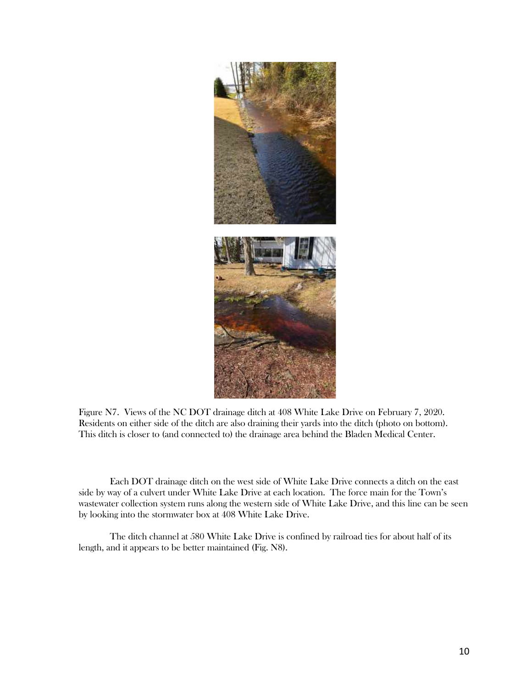

Figure N7. Views of the NC DOT drainage ditch at 408 White Lake Drive on February 7, 2020. Residents on either side of the ditch are also draining their yards into the ditch (photo on bottom). This ditch is closer to (and connected to) the drainage area behind the Bladen Medical Center.

Each DOT drainage ditch on the west side of White Lake Drive connects a ditch on the east side by way of a culvert under White Lake Drive at each location. The force main for the Town's wastewater collection system runs along the western side of White Lake Drive, and this line can be seen by looking into the stormwater box at 408 White Lake Drive.

The ditch channel at 580 White Lake Drive is confined by railroad ties for about half of its length, and it appears to be better maintained (Fig. N8).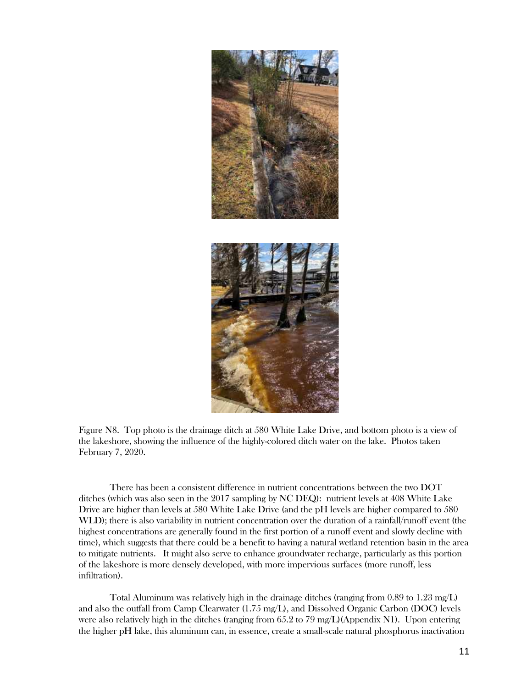

Figure N8. Top photo is the drainage ditch at 580 White Lake Drive, and bottom photo is a view of the lakeshore, showing the influence of the highly-colored ditch water on the lake. Photos taken February 7, 2020.

There has been a consistent difference in nutrient concentrations between the two DOT ditches (which was also seen in the 2017 sampling by NC DEQ): nutrient levels at 408 White Lake Drive are higher than levels at 580 White Lake Drive (and the pH levels are higher compared to 580 WLD); there is also variability in nutrient concentration over the duration of a rainfall/runoff event (the highest concentrations are generally found in the first portion of a runoff event and slowly decline with time), which suggests that there could be a benefit to having a natural wetland retention basin in the area to mitigate nutrients. It might also serve to enhance groundwater recharge, particularly as this portion of the lakeshore is more densely developed, with more impervious surfaces (more runoff, less infiltration).

Total Aluminum was relatively high in the drainage ditches (ranging from 0.89 to 1.23 mg/L) and also the outfall from Camp Clearwater (1.75 mg/L), and Dissolved Organic Carbon (DOC) levels were also relatively high in the ditches (ranging from 65.2 to 79 mg/L)(Appendix N1). Upon entering the higher pH lake, this aluminum can, in essence, create a small-scale natural phosphorus inactivation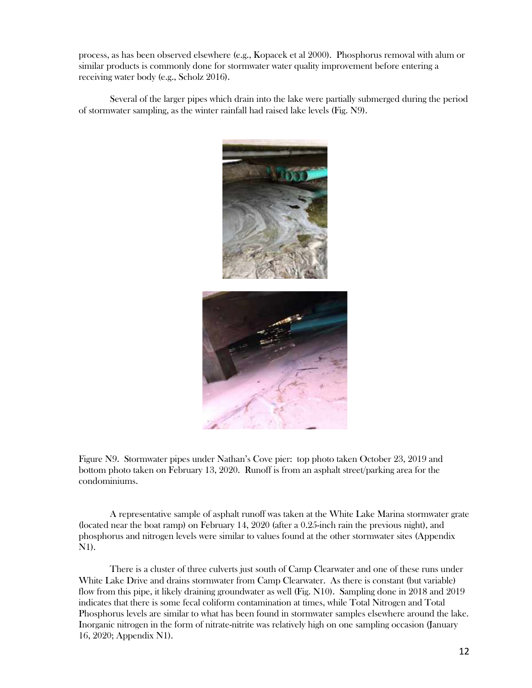process, as has been observed elsewhere (e.g., Kopacek et al 2000). Phosphorus removal with alum or similar products is commonly done for stormwater water quality improvement before entering a receiving water body (e.g., Scholz 2016).

Several of the larger pipes which drain into the lake were partially submerged during the period of stormwater sampling, as the winter rainfall had raised lake levels (Fig. N9).



Figure N9. Stormwater pipes under Nathan's Cove pier: top photo taken October 23, 2019 and bottom photo taken on February 13, 2020. Runoff is from an asphalt street/parking area for the condominiums.

A representative sample of asphalt runoff was taken at the White Lake Marina stormwater grate (located near the boat ramp) on February 14, 2020 (after a 0.25-inch rain the previous night), and phosphorus and nitrogen levels were similar to values found at the other stormwater sites (Appendix N1).

There is a cluster of three culverts just south of Camp Clearwater and one of these runs under White Lake Drive and drains stormwater from Camp Clearwater. As there is constant (but variable) flow from this pipe, it likely draining groundwater as well (Fig. N10). Sampling done in 2018 and 2019 indicates that there is some fecal coliform contamination at times, while Total Nitrogen and Total Phosphorus levels are similar to what has been found in stormwater samples elsewhere around the lake. Inorganic nitrogen in the form of nitrate-nitrite was relatively high on one sampling occasion (January 16, 2020; Appendix N1).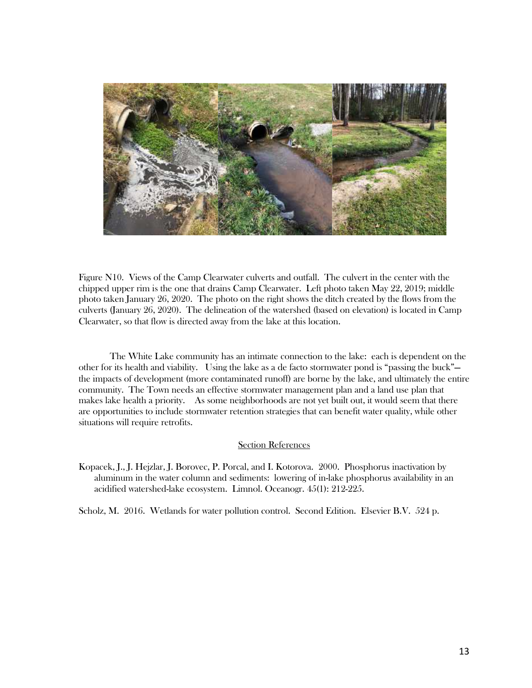

Figure N10. Views of the Camp Clearwater culverts and outfall. The culvert in the center with the chipped upper rim is the one that drains Camp Clearwater. Left photo taken May 22, 2019; middle photo taken January 26, 2020. The photo on the right shows the ditch created by the flows from the culverts (January 26, 2020). The delineation of the watershed (based on elevation) is located in Camp Clearwater, so that flow is directed away from the lake at this location.

The White Lake community has an intimate connection to the lake: each is dependent on the other for its health and viability. Using the lake as a de facto stormwater pond is "passing the buck" the impacts of development (more contaminated runoff) are borne by the lake, and ultimately the entire community. The Town needs an effective stormwater management plan and a land use plan that makes lake health a priority. As some neighborhoods are not yet built out, it would seem that there are opportunities to include stormwater retention strategies that can benefit water quality, while other situations will require retrofits.

#### Section References

Kopacek, J., J. Hejzlar, J. Borovec, P. Porcal, and I. Kotorova. 2000. Phosphorus inactivation by aluminum in the water column and sediments: lowering of in-lake phosphorus availability in an acidified watershed-lake ecosystem. Limnol. Oceanogr. 45(1): 212-225.

Scholz, M. 2016. Wetlands for water pollution control. Second Edition. Elsevier B.V. 524 p.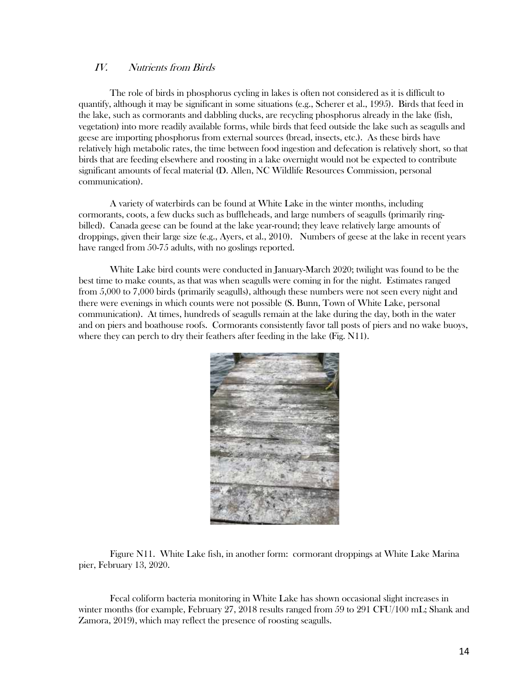### IV. Nutrients from Birds

The role of birds in phosphorus cycling in lakes is often not considered as it is difficult to quantify, although it may be significant in some situations (e.g., Scherer et al., 1995). Birds that feed in the lake, such as cormorants and dabbling ducks, are recycling phosphorus already in the lake (fish, vegetation) into more readily available forms, while birds that feed outside the lake such as seagulls and geese are importing phosphorus from external sources (bread, insects, etc.). As these birds have relatively high metabolic rates, the time between food ingestion and defecation is relatively short, so that birds that are feeding elsewhere and roosting in a lake overnight would not be expected to contribute significant amounts of fecal material (D. Allen, NC Wildlife Resources Commission, personal communication).

A variety of waterbirds can be found at White Lake in the winter months, including cormorants, coots, a few ducks such as buffleheads, and large numbers of seagulls (primarily ringbilled). Canada geese can be found at the lake year-round; they leave relatively large amounts of droppings, given their large size (e.g., Ayers, et al., 2010). Numbers of geese at the lake in recent years have ranged from 50-75 adults, with no goslings reported.

White Lake bird counts were conducted in January-March 2020; twilight was found to be the best time to make counts, as that was when seagulls were coming in for the night. Estimates ranged from 5,000 to 7,000 birds (primarily seagulls), although these numbers were not seen every night and there were evenings in which counts were not possible (S. Bunn, Town of White Lake, personal communication). At times, hundreds of seagulls remain at the lake during the day, both in the water and on piers and boathouse roofs. Cormorants consistently favor tall posts of piers and no wake buoys, where they can perch to dry their feathers after feeding in the lake (Fig. N11).



Figure N11. White Lake fish, in another form: cormorant droppings at White Lake Marina pier, February 13, 2020.

Fecal coliform bacteria monitoring in White Lake has shown occasional slight increases in winter months (for example, February 27, 2018 results ranged from 59 to 291 CFU/100 mL; Shank and Zamora, 2019), which may reflect the presence of roosting seagulls.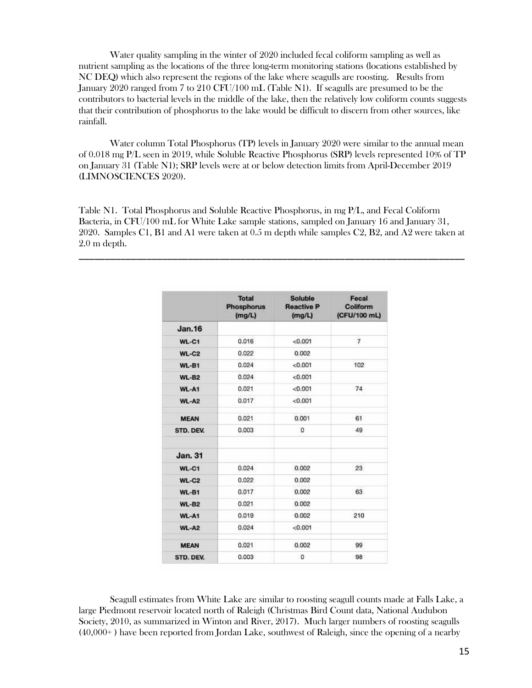Water quality sampling in the winter of 2020 included fecal coliform sampling as well as nutrient sampling as the locations of the three long-term monitoring stations (locations established by NC DEQ) which also represent the regions of the lake where seagulls are roosting. Results from January 2020 ranged from 7 to 210 CFU/100 mL (Table N1). If seagulls are presumed to be the contributors to bacterial levels in the middle of the lake, then the relatively low coliform counts suggests that their contribution of phosphorus to the lake would be difficult to discern from other sources, like rainfall.

Water column Total Phosphorus (TP) levels in January 2020 were similar to the annual mean of 0.018 mg P/L seen in 2019, while Soluble Reactive Phosphorus (SRP) levels represented 10% of TP on January 31 (Table N1); SRP levels were at or below detection limits from April-December 2019 (LIMNOSCIENCES 2020).

Table N1. Total Phosphorus and Soluble Reactive Phosphorus, in mg P/L, and Fecal Coliform Bacteria, in CFU/100 mL for White Lake sample stations, sampled on January 16 and January 31, 2020. Samples C1, B1 and A1 were taken at 0.5 m depth while samples C2, B2, and A2 were taken at 2.0 m depth.

\_\_\_\_\_\_\_\_\_\_\_\_\_\_\_\_\_\_\_\_\_\_\_\_\_\_\_\_\_\_\_\_\_\_\_\_\_\_\_\_\_\_\_\_\_\_\_\_\_\_\_\_\_\_\_\_\_\_\_\_\_\_\_\_\_\_\_\_\_\_\_\_\_\_

|               | <b>Total</b><br><b>Phosphorus</b><br>(mg/L) | <b>Soluble</b><br><b>Reactive P</b><br>(mg/L) | Fecal<br>Coliform<br>(CFU/100 mL) |
|---------------|---------------------------------------------|-----------------------------------------------|-----------------------------------|
| <b>Jan.16</b> |                                             |                                               |                                   |
| WL-C1         | 0.016                                       | < 0.001                                       | 7                                 |
| $WL-C2$       | 0.022                                       | 0.002                                         |                                   |
| WL-B1         | 0.024                                       | < 0.001                                       | 102                               |
| $WL-B2$       | 0.024                                       | < 0.001                                       |                                   |
| WL-A1         | 0.021                                       | < 0.001                                       | 74                                |
| $WL-AZ$       | 0.017                                       | < 0.001                                       |                                   |
| <b>MEAN</b>   | 0.021                                       | 0.001                                         | 61                                |
| STD. DEV.     | 0.003                                       | o                                             | 49                                |
| Jan. 31       |                                             |                                               |                                   |
| <b>WL-C1</b>  | 0.024                                       | 0.002                                         | 23                                |
| $WL-C2$       | 0.022                                       | 0.002                                         |                                   |
| <b>WL-B1</b>  | 0.017                                       | 0.002                                         | 63                                |
| $WL-B2$       | 0.021                                       | 0.002                                         |                                   |
| WL-A1         | 0.019                                       | 0.002                                         | 210                               |
| $WL-AB$       | 0.024                                       | < 0.001                                       |                                   |
| <b>MEAN</b>   | 0.021                                       | 0.002                                         | 99                                |
| STD. DEV.     | 0.003                                       | $\circ$                                       | 98                                |

Seagull estimates from White Lake are similar to roosting seagull counts made at Falls Lake, a large Piedmont reservoir located north of Raleigh (Christmas Bird Count data, National Audubon Society, 2010, as summarized in Winton and River, 2017). Much larger numbers of roosting seagulls (40,000+ ) have been reported from Jordan Lake, southwest of Raleigh, since the opening of a nearby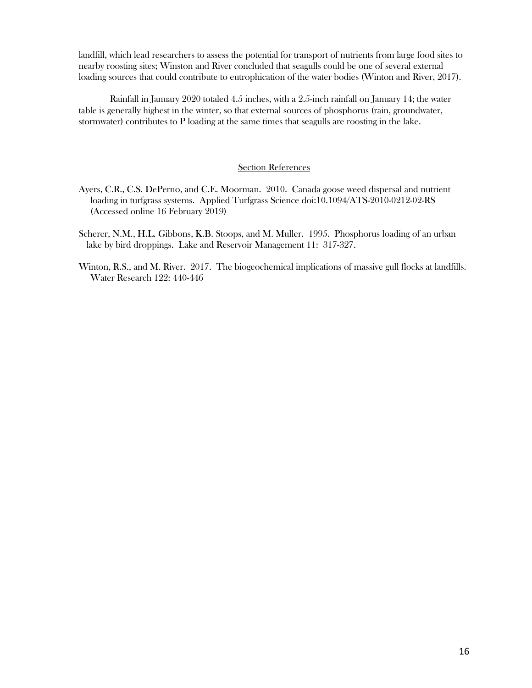landfill, which lead researchers to assess the potential for transport of nutrients from large food sites to nearby roosting sites; Winston and River concluded that seagulls could be one of several external loading sources that could contribute to eutrophication of the water bodies (Winton and River, 2017).

Rainfall in January 2020 totaled 4.5 inches, with a 2.5-inch rainfall on January 14; the water table is generally highest in the winter, so that external sources of phosphorus (rain, groundwater, stormwater) contributes to P loading at the same times that seagulls are roosting in the lake.

#### Section References

- Ayers, C.R., C.S. DePerno, and C.E. Moorman. 2010. Canada goose weed dispersal and nutrient loading in turfgrass systems. Applied Turfgrass Science doi:10.1094/ATS-2010-0212-02-RS (Accessed online 16 February 2019)
- Scherer, N.M., H.L. Gibbons, K.B. Stoops, and M. Muller. 1995. Phosphorus loading of an urban lake by bird droppings. Lake and Reservoir Management 11: 317-327.
- Winton, R.S., and M. River. 2017. The biogeochemical implications of massive gull flocks at landfills. Water Research 122: 440-446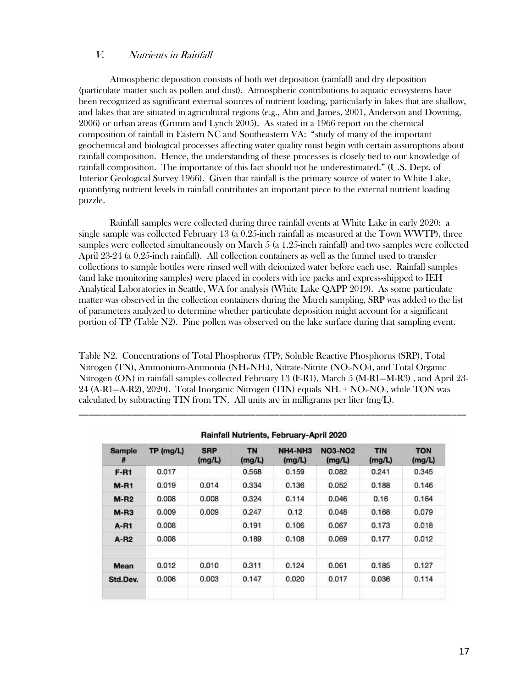### V. Nutrients in Rainfall

Atmospheric deposition consists of both wet deposition (rainfall) and dry deposition (particulate matter such as pollen and dust). Atmospheric contributions to aquatic ecosystems have been recognized as significant external sources of nutrient loading, particularly in lakes that are shallow, and lakes that are situated in agricultural regions (e.g., Ahn and James, 2001, Anderson and Downing, 2006) or urban areas (Grimm and Lynch 2005). As stated in a 1966 report on the chemical composition of rainfall in Eastern NC and Southeastern VA: "study of many of the important geochemical and biological processes affecting water quality must begin with certain assumptions about rainfall composition. Hence, the understanding of these processes is closely tied to our knowledge of rainfall composition. The importance of this fact should not be underestimated." (U.S. Dept. of Interior Geological Survey 1966). Given that rainfall is the primary source of water to White Lake, quantifying nutrient levels in rainfall contributes an important piece to the external nutrient loading puzzle.

Rainfall samples were collected during three rainfall events at White Lake in early 2020: a single sample was collected February 13 (a 0.25-inch rainfall as measured at the Town WWTP), three samples were collected simultaneously on March 5 (a 1.25-inch rainfall) and two samples were collected April 23-24 (a 0.25-inch rainfall). All collection containers as well as the funnel used to transfer collections to sample bottles were rinsed well with deionized water before each use. Rainfall samples (and lake monitoring samples) were placed in coolers with ice packs and express-shipped to IEH Analytical Laboratories in Seattle, WA for analysis (White Lake QAPP 2019). As some particulate matter was observed in the collection containers during the March sampling, SRP was added to the list of parameters analyzed to determine whether particulate deposition might account for a significant portion of TP (Table N2). Pine pollen was observed on the lake surface during that sampling event.

Table N2. Concentrations of Total Phosphorus (TP), Soluble Reactive Phosphorus (SRP), Total Nitrogen (TN), Ammonium-Ammonia (NH<sub>4</sub>-NH<sub>3</sub>), Nitrate-Nitrite (NO<sub>3</sub>-NO<sub>2</sub>), and Total Organic Nitrogen (ON) in rainfall samples collected February 13 (F-R1), March 5 (M-R1—M-R3) , and April 23- 24 (A-R1—A-R2), 2020). Total Inorganic Nitrogen (TIN) equals  $NH_4 + NO<sub>3</sub>-NO<sub>2</sub>$ , while TON was calculated by subtracting TIN from TN. All units are in milligrams per liter (mg/L).

| <b>Sample</b><br># | TP (mg/L) | <b>SRP</b><br>(mg/L) | <b>TN</b><br>(mg/L) | NH4-NH3<br>(mg/L) | <b>NO3-NO2</b><br>(mg/L) | <b>TIN</b><br>(mg/L) | <b>TON</b><br>(mg/L) |
|--------------------|-----------|----------------------|---------------------|-------------------|--------------------------|----------------------|----------------------|
| $F-R1$             | 0.017     |                      | 0.568               | 0.159             | 0.082                    | 0.241                | 0.345                |
| $M-RI$             | 0.019     | 0.014                | 0.334               | 0.136             | 0.052                    | 0.188                | 0.146                |
| $M- R2$            | 0.008     | 0.008                | 0.324               | 0.114             | 0.046                    | 0.16                 | 0.164                |
| $M-R3$             | 0.009     | 0.009                | 0.247               | 0.12              | 0.048                    | 0.168                | 0.079                |
| A-R1               | 0.008     |                      | 0.191               | 0.106             | 0.067                    | 0.173                | 0.018                |
| $A-R2$             | 0.008     |                      | 0.189               | 0.108             | 0.069                    | 0.177                | 0.012                |
| Mean               | 0.012     | 0.010                | 0.311               | 0.124             | 0.061                    | 0.185                | 0.127                |
| Std.Dev.           | 0.006     | 0.003                | 0.147               | 0.020             | 0.017                    | 0.036                | 0.114                |

Rainfall Nutrients, February-April 2020

\_\_\_\_\_\_\_\_\_\_\_\_\_\_\_\_\_\_\_\_\_\_\_\_\_\_\_\_\_\_\_\_\_\_\_\_\_\_\_\_\_\_\_\_\_\_\_\_\_\_\_\_\_\_\_\_\_\_\_\_\_\_\_\_\_\_\_\_\_\_\_\_\_\_\_\_\_\_\_\_\_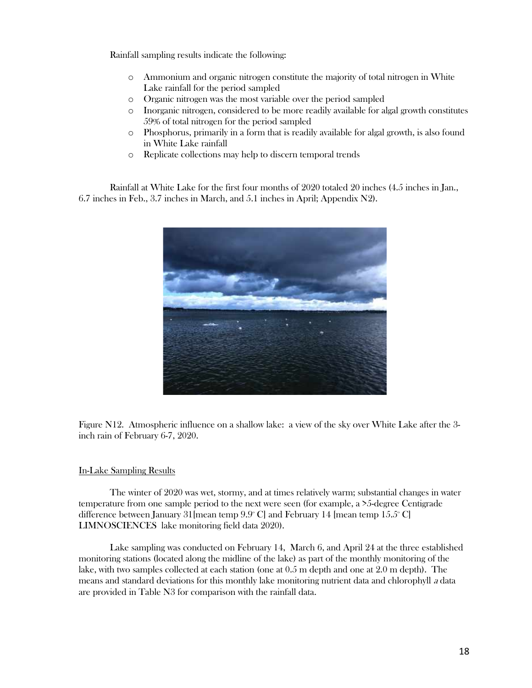Rainfall sampling results indicate the following:

- o Ammonium and organic nitrogen constitute the majority of total nitrogen in White Lake rainfall for the period sampled
- o Organic nitrogen was the most variable over the period sampled
- o Inorganic nitrogen, considered to be more readily available for algal growth constitutes 59% of total nitrogen for the period sampled
- o Phosphorus, primarily in a form that is readily available for algal growth, is also found in White Lake rainfall
- o Replicate collections may help to discern temporal trends

Rainfall at White Lake for the first four months of 2020 totaled 20 inches (4.5 inches in Jan., 6.7 inches in Feb., 3.7 inches in March, and 5.1 inches in April; Appendix N2).



Figure N12. Atmospheric influence on a shallow lake: a view of the sky over White Lake after the 3 inch rain of February 6-7, 2020.

### In-Lake Sampling Results

The winter of 2020 was wet, stormy, and at times relatively warm; substantial changes in water temperature from one sample period to the next were seen (for example, a >5-degree Centigrade difference between January 31 [mean temp  $9.9^{\circ}$  C] and February 14 [mean temp  $15.5^{\circ}$  C] LIMNOSCIENCES lake monitoring field data 2020).

Lake sampling was conducted on February 14, March 6, and April 24 at the three established monitoring stations (located along the midline of the lake) as part of the monthly monitoring of the lake, with two samples collected at each station (one at 0.5 m depth and one at 2.0 m depth). The means and standard deviations for this monthly lake monitoring nutrient data and chlorophyll <sup>a</sup> data are provided in Table N3 for comparison with the rainfall data.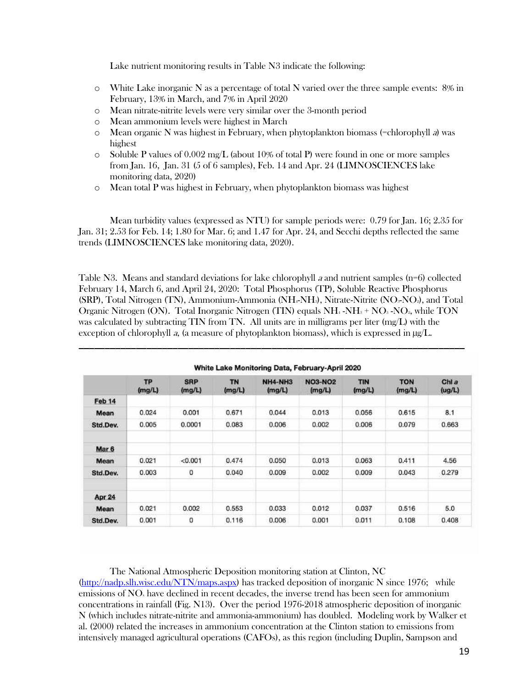Lake nutrient monitoring results in Table N3 indicate the following:

- $\circ$  White Lake inorganic N as a percentage of total N varied over the three sample events: 8% in February, 13% in March, and 7% in April 2020
- o Mean nitrate-nitrite levels were very similar over the 3-month period
- o Mean ammonium levels were highest in March
- $\circ$  Mean organic N was highest in February, when phytoplankton biomass (=chlorophyll a) was highest
- $\circ$  Soluble P values of 0.002 mg/L (about 10% of total P) were found in one or more samples from Jan. 16, Jan. 31 (5 of 6 samples), Feb. 14 and Apr. 24 (LIMNOSCIENCES lake monitoring data, 2020)
- $\circ$  Mean total P was highest in February, when phytoplankton biomass was highest

Mean turbidity values (expressed as NTU) for sample periods were: 0.79 for Jan. 16; 2.35 for Jan. 31; 2.53 for Feb. 14; 1.80 for Mar. 6; and 1.47 for Apr. 24, and Secchi depths reflected the same trends (LIMNOSCIENCES lake monitoring data, 2020).

Table N3. Means and standard deviations for lake chlorophyll a and nutrient samples  $(n=6)$  collected February 14, March 6, and April 24, 2020: Total Phosphorus (TP), Soluble Reactive Phosphorus  $(SRP)$ , Total Nitrogen (TN), Ammonium-Ammonia (NH $_F$ NH<sub>3</sub>), Nitrate-Nitrite (NO $_F$ NO<sub>2</sub>), and Total Organic Nitrogen (ON). Total Inorganic Nitrogen (TIN) equals NH<sup>4</sup> -NH<sup>3</sup> + NO<sup>3</sup> -NO2, while TON was calculated by subtracting TIN from TN. All units are in milligrams per liter (mg/L) with the exception of chlorophyll a, (a measure of phytoplankton biomass), which is expressed in  $\mu$ g/L.

\_\_\_\_\_\_\_\_\_\_\_\_\_\_\_\_\_\_\_\_\_\_\_\_\_\_\_\_\_\_\_\_\_\_\_\_\_\_\_\_\_\_\_\_\_\_\_\_\_\_\_\_\_\_\_\_\_\_\_\_\_\_\_\_\_\_\_\_\_\_\_\_\_\_

|                  | <b>TP</b><br>(mg/L) | <b>SRP</b><br>(mg/L) | <b>TN</b><br>(mg/L) | NH4-NH3<br>(mg/L) | <b>NO3-NO2</b><br>(mg/L) | <b>TIN</b><br>(mg/L) | <b>TON</b><br>(mg/L) | Chl a<br>(ug/L) |
|------------------|---------------------|----------------------|---------------------|-------------------|--------------------------|----------------------|----------------------|-----------------|
| Feb 14           |                     |                      |                     |                   |                          |                      |                      |                 |
| Mean             | 0.024               | 0.001                | 0.671               | 0.044             | 0.013                    | 0.056                | 0.615                | 8.1             |
| Std.Dev.         | 0.005               | 0.0001               | 0.083               | 0.006             | 0.002                    | 0.006                | 0.079                | 0.663           |
| Mar <sub>6</sub> |                     |                      |                     |                   |                          |                      |                      |                 |
| Mean             | 0.021               | < 0.001              | 0.474               | 0.050             | 0.013                    | 0.063                | 0.411                | 4.56            |
| Std.Dev.         | 0.003               | 0                    | 0.040               | 0.009             | 0.002                    | 0.009                | 0.043                | 0.279           |
| Apr 24           |                     |                      |                     |                   |                          |                      |                      |                 |
| Mean             | 0.021               | 0.002                | 0.553               | 0.033             | 0.012                    | 0.037                | 0.516                | 5.0             |
| Std.Dev.         | 0.001               | o                    | 0.116               | 0.006             | 0.001                    | 0.011                | 0.108                | 0.408           |

The National Atmospheric Deposition monitoring station at Clinton, NC (http://nadp.slh.wisc.edu/NTN/maps.aspx) has tracked deposition of inorganic N since 1976; while emissions of NO<sub>s</sub> have declined in recent decades, the inverse trend has been seen for ammonium concentrations in rainfall (Fig. N13). Over the period 1976-2018 atmospheric deposition of inorganic N (which includes nitrate-nitrite and ammonia-ammonium) has doubled. Modeling work by Walker et al. (2000) related the increases in ammonium concentration at the Clinton station to emissions from intensively managed agricultural operations (CAFOs), as this region (including Duplin, Sampson and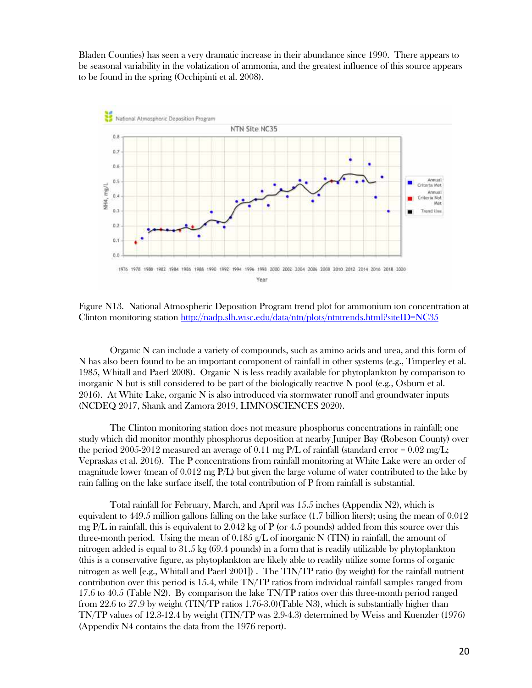Bladen Counties) has seen a very dramatic increase in their abundance since 1990. There appears to be seasonal variability in the volatization of ammonia, and the greatest influence of this source appears to be found in the spring (Occhipinti et al. 2008).



Figure N13. National Atmospheric Deposition Program trend plot for ammonium ion concentration at Clinton monitoring station http://nadp.slh.wisc.edu/data/ntn/plots/ntntrends.html?siteID=NC35

Organic N can include a variety of compounds, such as amino acids and urea, and this form of N has also been found to be an important component of rainfall in other systems (e.g., Timperley et al. 1985, Whitall and Paerl 2008). Organic N is less readily available for phytoplankton by comparison to inorganic N but is still considered to be part of the biologically reactive N pool (e.g., Osburn et al. 2016). At White Lake, organic N is also introduced via stormwater runoff and groundwater inputs (NCDEQ 2017, Shank and Zamora 2019, LIMNOSCIENCES 2020).

The Clinton monitoring station does not measure phosphorus concentrations in rainfall; one study which did monitor monthly phosphorus deposition at nearby Juniper Bay (Robeson County) over the period 2005-2012 measured an average of 0.11 mg  $P/L$  of rainfall (standard error = 0.02 mg/L; Vepraskas et al. 2016). The P concentrations from rainfall monitoring at White Lake were an order of magnitude lower (mean of  $0.012$  mg  $P/L$ ) but given the large volume of water contributed to the lake by rain falling on the lake surface itself, the total contribution of P from rainfall is substantial.

Total rainfall for February, March, and April was 15.5 inches (Appendix N2), which is equivalent to 449.5 million gallons falling on the lake surface (1.7 billion liters); using the mean of 0.012 mg P/L in rainfall, this is equivalent to 2.042 kg of P (or 4.5 pounds) added from this source over this three-month period. Using the mean of 0.185 g/L of inorganic N (TIN) in rainfall, the amount of nitrogen added is equal to 31.5 kg (69.4 pounds) in a form that is readily utilizable by phytoplankton (this is a conservative figure, as phytoplankton are likely able to readily utilize some forms of organic nitrogen as well [e.g., Whitall and Paerl 2001]) . The TIN/TP ratio (by weight) for the rainfall nutrient contribution over this period is 15.4, while TN/TP ratios from individual rainfall samples ranged from 17.6 to 40.5 (Table N2). By comparison the lake TN/TP ratios over this three-month period ranged from 22.6 to 27.9 by weight (TIN/TP ratios 1.76-3.0)(Table N3), which is substantially higher than TN/TP values of 12.3-12.4 by weight (TIN/TP was 2.9-4.3) determined by Weiss and Kuenzler (1976) (Appendix N4 contains the data from the 1976 report).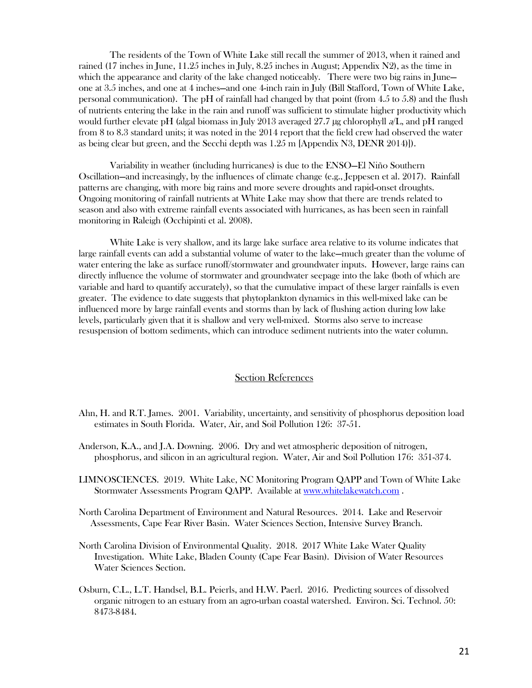The residents of the Town of White Lake still recall the summer of 2013, when it rained and rained (17 inches in June, 11.25 inches in July, 8.25 inches in August; Appendix N2), as the time in which the appearance and clarity of the lake changed noticeably. There were two big rains in June one at 3.5 inches, and one at 4 inches—and one 4-inch rain in July (Bill Stafford, Town of White Lake, personal communication). The pH of rainfall had changed by that point (from 4.5 to 5.8) and the flush of nutrients entering the lake in the rain and runoff was sufficient to stimulate higher productivity which would further elevate pH (algal biomass in July 2013 averaged 27.7 µg chlorophyll a/L, and pH ranged from 8 to 8.3 standard units; it was noted in the 2014 report that the field crew had observed the water as being clear but green, and the Secchi depth was 1.25 m [Appendix N3, DENR 2014)]).

Variability in weather (including hurricanes) is due to the ENSO—El Niño Southern Oscillation—and increasingly, by the influences of climate change (e.g., Jeppesen et al. 2017). Rainfall patterns are changing, with more big rains and more severe droughts and rapid-onset droughts. Ongoing monitoring of rainfall nutrients at White Lake may show that there are trends related to season and also with extreme rainfall events associated with hurricanes, as has been seen in rainfall monitoring in Raleigh (Occhipinti et al. 2008).

White Lake is very shallow, and its large lake surface area relative to its volume indicates that large rainfall events can add a substantial volume of water to the lake—much greater than the volume of water entering the lake as surface runoff/stormwater and groundwater inputs. However, large rains can directly influence the volume of stormwater and groundwater seepage into the lake (both of which are variable and hard to quantify accurately), so that the cumulative impact of these larger rainfalls is even greater. The evidence to date suggests that phytoplankton dynamics in this well-mixed lake can be influenced more by large rainfall events and storms than by lack of flushing action during low lake levels, particularly given that it is shallow and very well-mixed. Storms also serve to increase resuspension of bottom sediments, which can introduce sediment nutrients into the water column.

#### Section References

- Ahn, H. and R.T. James. 2001. Variability, uncertainty, and sensitivity of phosphorus deposition load estimates in South Florida. Water, Air, and Soil Pollution 126: 37-51.
- Anderson, K.A., and J.A. Downing. 2006. Dry and wet atmospheric deposition of nitrogen, phosphorus, and silicon in an agricultural region. Water, Air and Soil Pollution 176: 351-374.
- LIMNOSCIENCES. 2019. White Lake, NC Monitoring Program QAPP and Town of White Lake Stormwater Assessments Program QAPP. Available at www.whitelakewatch.com .
- North Carolina Department of Environment and Natural Resources. 2014. Lake and Reservoir Assessments, Cape Fear River Basin. Water Sciences Section, Intensive Survey Branch.
- North Carolina Division of Environmental Quality. 2018. 2017 White Lake Water Quality Investigation. White Lake, Bladen County (Cape Fear Basin). Division of Water Resources Water Sciences Section.
- Osburn, C.L., L.T. Handsel, B.L. Peierls, and H.W. Paerl. 2016. Predicting sources of dissolved organic nitrogen to an estuary from an agro-urban coastal watershed. Environ. Sci. Technol. 50: 8473-8484.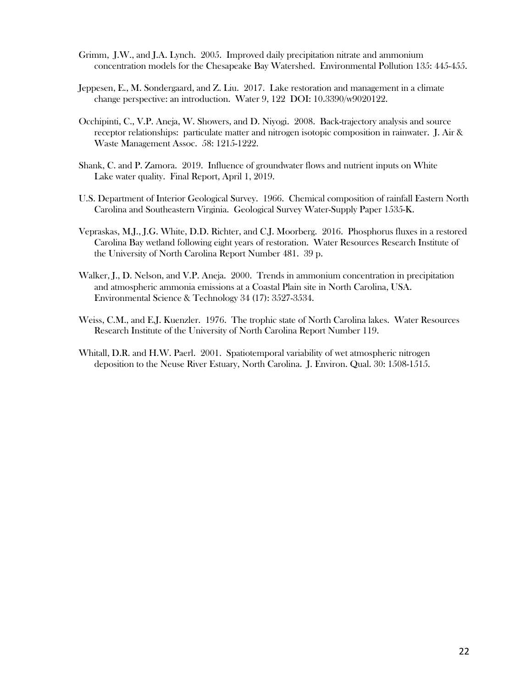- Grimm, J.W., and J.A. Lynch. 2005. Improved daily precipitation nitrate and ammonium concentration models for the Chesapeake Bay Watershed. Environmental Pollution 135: 445-455.
- Jeppesen, E., M. Sondergaard, and Z. Liu. 2017. Lake restoration and management in a climate change perspective: an introduction. Water 9, 122 DOI: 10.3390/w9020122.
- Occhipinti, C., V.P. Aneja, W. Showers, and D. Niyogi. 2008. Back-trajectory analysis and source receptor relationships: particulate matter and nitrogen isotopic composition in rainwater. J. Air & Waste Management Assoc. 58: 1215-1222.
- Shank, C. and P. Zamora. 2019. Influence of groundwater flows and nutrient inputs on White Lake water quality. Final Report, April 1, 2019.
- U.S. Department of Interior Geological Survey. 1966. Chemical composition of rainfall Eastern North Carolina and Southeastern Virginia. Geological Survey Water-Supply Paper 1535-K.
- Vepraskas, M.J., J.G. White, D.D. Richter, and C.J. Moorberg. 2016. Phosphorus fluxes in a restored Carolina Bay wetland following eight years of restoration. Water Resources Research Institute of the University of North Carolina Report Number 481. 39 p.
- Walker, J., D. Nelson, and V.P. Aneja. 2000. Trends in ammonium concentration in precipitation and atmospheric ammonia emissions at a Coastal Plain site in North Carolina, USA. Environmental Science & Technology 34 (17): 3527-3534.
- Weiss, C.M., and E.J. Kuenzler. 1976. The trophic state of North Carolina lakes. Water Resources Research Institute of the University of North Carolina Report Number 119.
- Whitall, D.R. and H.W. Paerl. 2001. Spatiotemporal variability of wet atmospheric nitrogen deposition to the Neuse River Estuary, North Carolina. J. Environ. Qual. 30: 1508-1515.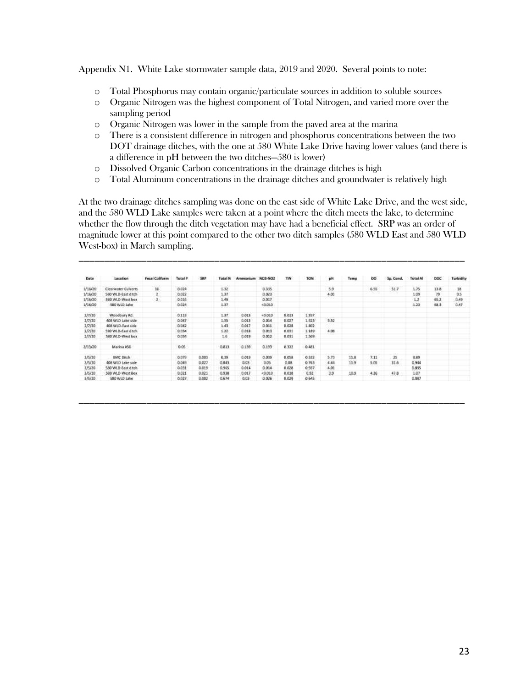Appendix N1. White Lake stormwater sample data, 2019 and 2020. Several points to note:

- o Total Phosphorus may contain organic/particulate sources in addition to soluble sources
- o Organic Nitrogen was the highest component of Total Nitrogen, and varied more over the sampling period
- o Organic Nitrogen was lower in the sample from the paved area at the marina
- o There is a consistent difference in nitrogen and phosphorus concentrations between the two DOT drainage ditches, with the one at 580 White Lake Drive having lower values (and there is a difference in pH between the two ditches—580 is lower)
- o Dissolved Organic Carbon concentrations in the drainage ditches is high
- o Total Aluminum concentrations in the drainage ditches and groundwater is relatively high

At the two drainage ditches sampling was done on the east side of White Lake Drive, and the west side, and the 580 WLD Lake samples were taken at a point where the ditch meets the lake, to determine whether the flow through the ditch vegetation may have had a beneficial effect. SRP was an order of magnitude lower at this point compared to the other two ditch samples (580 WLD East and 580 WLD West-box) in March sampling.

\_\_\_\_\_\_\_\_\_\_\_\_\_\_\_\_\_\_\_\_\_\_\_\_\_\_\_\_\_\_\_\_\_\_\_\_\_\_\_\_\_\_\_\_\_\_\_\_\_\_\_\_\_\_\_\_\_\_\_\_\_\_\_\_\_\_\_\_\_\_\_\_\_\_

| Date    | Location                   | <b>Fecal Culiform</b> | Total P | SRP   | Total N     | Ammontum | <b>NO3-NO2</b>             | TIN   | TON   | pH          | Temp | <b>DO</b> | Sp. Cond. | Total AI | DOC  | Turbidity |
|---------|----------------------------|-----------------------|---------|-------|-------------|----------|----------------------------|-------|-------|-------------|------|-----------|-----------|----------|------|-----------|
| 1/16/20 | <b>Clearwater Culverts</b> | 16                    | 0.024   |       | -52<br>1.32 |          | <b>STATISTICS</b><br>0.335 |       |       | 5.9         |      | 6.55      | 51.7      | 1.75     | 13.8 | 18        |
| 1/16/20 | SBO WLD-East ditch         |                       | 0.022   |       | 1.37        |          | 0.023                      |       |       | 4.03        |      |           |           | 1.09     | 79   | 0.5       |
| 1/16/20 | 580 WLD-West hos           | 2.5                   | 0.016   |       | 1.49        |          | 0.017                      |       |       | a Turk Inde |      |           |           | 1.2      | 65.2 | 0.49      |
| 1/16/20 | 580 WLD Lake               |                       | 0.024   |       | 1.37        |          | $+0.010$                   |       |       |             |      |           |           | 1.23     | 68.1 | 0.47      |
| 2/7/20  | Woodbury Rd.               |                       | 0.113   |       | 1.37        | 0.013    | $-0.010$                   | 0.013 | 1.357 |             |      |           |           |          |      |           |
| 2/7/20  | 408 WLD Lake side          |                       | 0.047   |       | 1.55        | 0.013    | 0.014                      | 0.027 | 1,523 | 5.52        |      |           |           |          |      |           |
| 2/7/20  | 408 WLD-East side          |                       | 0.042   |       | 1.43        | 0.017    | 0.011                      | 0.026 | 1.402 |             |      |           |           |          |      |           |
| 2/7/20  | 580 WLD-East ditch         |                       | 0.034   |       | 1.22        | 0.018    | 0.018                      | 0.031 | 1,189 | 4,08        |      |           |           |          |      |           |
| 2/1/20  | 580 WLD-West hor           |                       | 0.034   |       | 1.6         | 0.019    | 0.012                      | 0.031 | 1.569 |             |      |           |           |          |      |           |
| 2/13/20 | Marina #56                 |                       | 0.05    |       | 0.813       | 0.139    | 0.193                      | 0.332 | 0.481 |             |      |           |           |          |      |           |
| 3/5/20  | <b>BMC Ditch</b>           |                       | 0.079   | 0.003 | 0.39        | 0.019    | 0.039                      | 0.058 | 0.932 | 5.73        | 11.8 | 7.11      | 25        | 0.89     |      |           |
| 3/5/20  | 406 WLD Lake side          |                       | 0.049   | 0.077 | 0.843       | 0.03     | 0.05                       | 0.08  | 0.765 | 4.44        | 11.9 | 5.05      | 31.6      | 0.944    |      |           |
| 3/5/20  | 580 WLD-East ditch         |                       | 0.031   | 0.019 | 0.955       | 0.014    | 0.014                      | 0.028 | 0.937 | 4.01        |      |           |           | 0.895    |      |           |
| 3/5/20  | 580 WLD West Box           |                       | 0.021   | 0.021 | 0.938       | 0.017    | $-0.010$                   | 0.018 | 0.92  | 3.9         | 10.9 | 4.26      | 47.8      | 1.07     |      |           |
| 3/5/20  | 580 WLD Lake               |                       | 0.027   | 0.002 | 0.674       | 0.03     | 0.026                      | 0.029 | 0.645 |             |      |           |           | 0.087    |      |           |

\_\_\_\_\_\_\_\_\_\_\_\_\_\_\_\_\_\_\_\_\_\_\_\_\_\_\_\_\_\_\_\_\_\_\_\_\_\_\_\_\_\_\_\_\_\_\_\_\_\_\_\_\_\_\_\_\_\_\_\_\_\_\_\_\_\_\_\_\_\_\_\_\_\_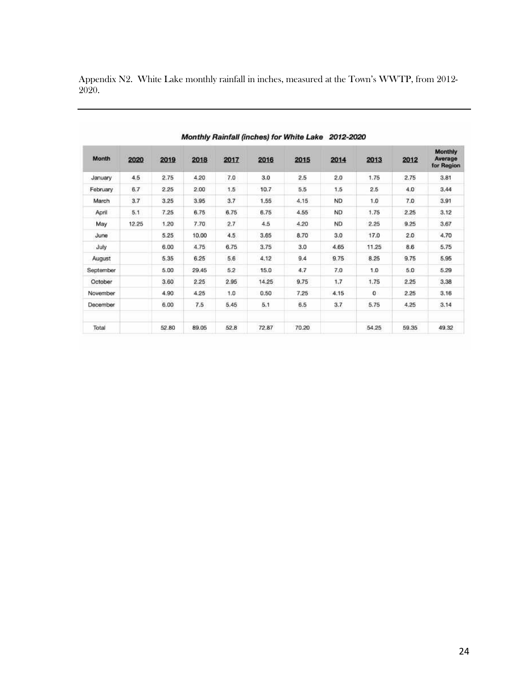| Month     | 2020  | 2019  | 2018  | 2017 | 2016  | 2015  | 2014      | 2013  | 2012  | Monthly<br>Average<br>for Region |
|-----------|-------|-------|-------|------|-------|-------|-----------|-------|-------|----------------------------------|
| January   | 4,5   | 2.75  | 4.20  | 7.0  | 3.0   | 2.5   | 2.0       | 1.75  | 2.75  | 3,81                             |
| February  | 6.7   | 2.25  | 2.00  | 1.5  | 10.7  | 5.5   | 1.5       | 2.5   | 4.0   | 3.44                             |
| March     | 3.7   | 3.25  | 3.95  | 3.7  | 1.55  | 4.15  | <b>ND</b> | 1.0   | 7.0   | 3.91                             |
| April     | 5.1   | 7.25  | 6.75  | 6.75 | 6.75  | 4.55  | <b>ND</b> | 1.75  | 2.25  | 3.12                             |
| May       | 12.25 | 1.20  | 7.70  | 2.7  | 4.5   | 4.20  | ND.       | 2.25  | 9.25  | 3.67                             |
| June      |       | 5.25  | 10.00 | 4.5  | 3.65  | 8.70  | 3.0       | 17.0  | 2.0   | 4.70                             |
| July      |       | 6.00  | 4.75  | 6.75 | 3.75  | 3.0   | 4.65      | 11.25 | 8.6   | 5.75                             |
| August    |       | 5.35  | 6.25  | 5.6  | 4.12  | 9.4   | 9.75      | 8.25  | 9.75  | 5.95                             |
| September |       | 5.00  | 29.45 | 5.2  | 15.0  | 4.7   | 7.0       | 1.0   | 5.0   | 5.29                             |
| October   |       | 3.60  | 2.25  | 2.95 | 14.25 | 9.75  | 1.7       | 1.75  | 2.25  | 3.38                             |
| November  |       | 4.90  | 4.25  | 1.0  | 0.50  | 7.26  | 4.15      | 0     | 2.25  | 3,16                             |
| December  |       | 6.00  | 7.5   | 5.45 | 5.1   | 6.5   | 3.7       | 5.75  | 4,25  | 3.14                             |
| Total     |       | 52.80 | 89.05 | 52.8 | 72.87 | 70.20 |           | 54.25 | 59.35 | 49.32                            |

Appendix N2. White Lake monthly rainfall in inches, measured at the Town's WWTP, from 2012- 2020.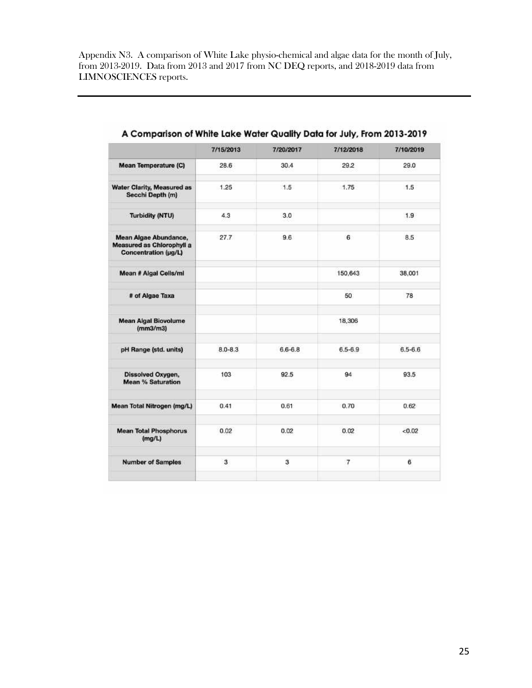Appendix N3. A comparison of White Lake physio-chemical and algae data for the month of July, from 2013-2019. Data from 2013 and 2017 from NC DEQ reports, and 2018-2019 data from LIMNOSCIENCES reports.

|                                                                            | 7/15/2013   | 7/20/2017   | 7/12/2018      | 7/10/2019   |
|----------------------------------------------------------------------------|-------------|-------------|----------------|-------------|
| Mean Temperature (C)                                                       | 28.6        | 30.4        | 29.2           | 29.0        |
| <b>Water Clarity, Measured as</b><br>Secchi Depth (m)                      | 1.25        | 1.5         | 1.75           | 1.5         |
| <b>Turbidity (NTU)</b>                                                     | 4.3         | 3.0         |                | 1.9         |
| Mean Algae Abundance,<br>Measured as Chlorophyll a<br>Concentration (µg/L) | 27.7        | 9.6         | 6              | 8.5         |
| Mean # Algal Cells/ml                                                      |             |             | 150,643        | 38,001      |
| # of Algae Taxa                                                            |             |             | 50             | 78          |
| <b>Mean Algal Biovolume</b><br>(mm3/m3)                                    |             |             | 18,306         |             |
| pH Range (std. units)                                                      | $8.0 - 8.3$ | $6.6 - 6.8$ | $6.5 - 6.9$    | $6.5 - 6.6$ |
| Dissolved Oxygen,<br><b>Mean % Saturation</b>                              | 103         | 92.5        | 94             | 93.5        |
| Mean Total Nitrogen (mg/L)                                                 | 0.41        | 0.61        | 0.70           | 0.62        |
| <b>Mean Total Phosphorus</b><br>(mg/L)                                     | 0.02        | 0.02        | 0.02           | < 0.02      |
| <b>Number of Samples</b>                                                   | 3           | 3           | $\overline{7}$ | 6           |

 $\mathbb{Z}$  $\cdots$  $\mathbf{a}$